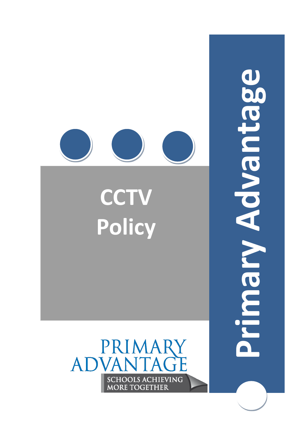

Primary Advantage **Primary Advantage**

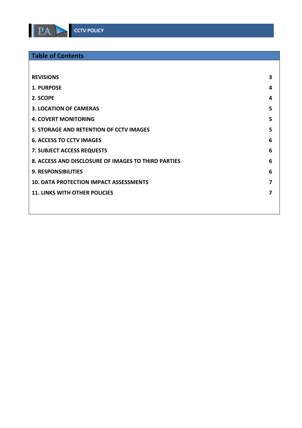

# **Table of Contents**

| <b>REVISIONS</b>                                    | 3 |
|-----------------------------------------------------|---|
| 1. PURPOSE                                          | 4 |
| 2. SCOPE                                            | 4 |
| <b>3. LOCATION OF CAMERAS</b>                       | 5 |
| <b>4. COVERT MONITORING</b>                         | 5 |
| <b>5. STORAGE AND RETENTION OF CCTV IMAGES</b>      | 5 |
| <b>6. ACCESS TO CCTV IMAGES</b>                     | 6 |
| <b>7. SUBJECT ACCESS REQUESTS</b>                   | 6 |
| 8. ACCESS AND DISCLOSURE OF IMAGES TO THIRD PARTIES | 6 |
| <b>9. RESPONSIBILITIES</b>                          | 6 |
| <b>10. DATA PROTECTION IMPACT ASSESSMENTS</b>       | 7 |
| <b>11. LINKS WITH OTHER POLICIES</b>                | 7 |
|                                                     |   |
|                                                     |   |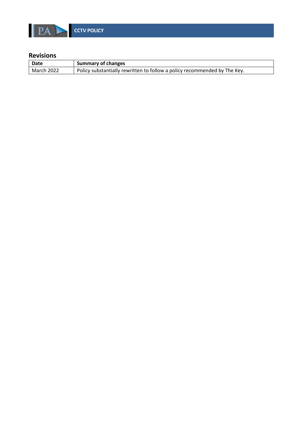

<span id="page-2-0"></span>

| Date               | <b>Summary of changes</b>                                                 |  |
|--------------------|---------------------------------------------------------------------------|--|
| $\vert$ March 2022 | Policy substantially rewritten to follow a policy recommended by The Key. |  |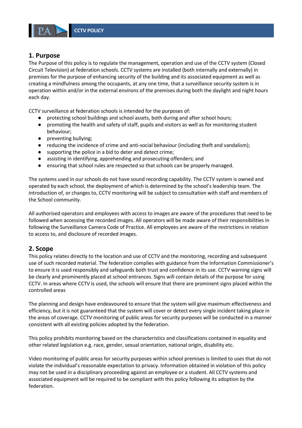

#### <span id="page-3-0"></span>**1. Purpose**

The Purpose of this policy is to regulate the management, operation and use of the CCTV system (Closed Circuit Television) at federation schools. CCTV systems are installed (both internally and externally) in premises for the purpose of enhancing security of the building and its associated equipment as well as creating a mindfulness among the occupants, at any one time, that a surveillance security system is in operation within and/or in the external environs of the premises during both the daylight and night hours each day.

CCTV surveillance at federation schools is intended for the purposes of:

- protecting school buildings and school assets, both during and after school hours;
- promoting the health and safety of staff, pupils and visitors as well as for monitoring student behaviour;
- preventing bullying;
- reducing the incidence of crime and anti-social behaviour (including theft and vandalism);
- supporting the police in a bid to deter and detect crime;
- assisting in identifying, apprehending and prosecuting offenders; and
- ensuring that school rules are respected so that schools can be properly managed.

The systems used in our schools do not have sound recording capability. The CCTV system is owned and operated by each school, the deployment of which is determined by the school's leadership team. The introduction of, or changes to, CCTV monitoring will be subject to consultation with staff and members of the School community.

All authorised operators and employees with access to images are aware of the procedures that need to be followed when accessing the recorded images. All operators will be made aware of their responsibilities in following the Surveillance Camera Code of Practice. All employees are aware of the restrictions in relation to access to, and disclosure of recorded images.

### <span id="page-3-1"></span>**2. Scope**

This policy relates directly to the location and use of CCTV and the monitoring, recording and subsequent use of such recorded material. The federation complies with guidance from the Information Commissioner's to ensure it is used responsibly and safeguards both trust and confidence in its use. CCTV warning signs will be clearly and prominently placed at school entrances. Signs will contain details of the purpose for using CCTV. In areas where CCTV is used, the schools will ensure that there are prominent signs placed within the controlled areas

The planning and design have endeavoured to ensure that the system will give maximum effectiveness and efficiency, but it is not guaranteed that the system will cover or detect every single incident taking place in the areas of coverage. CCTV monitoring of public areas for security purposes will be conducted in a manner consistent with all existing policies adopted by the federation.

This policy prohibits monitoring based on the characteristics and classifications contained in equality and other related legislation e.g. race, gender, sexual orientation, national origin, disability etc.

Video monitoring of public areas for security purposes within school premises is limited to uses that do not violate the individual's reasonable expectation to privacy. Information obtained in violation of this policy may not be used in a disciplinary proceeding against an employee or a student. All CCTV systems and associated equipment will be required to be compliant with this policy following its adoption by the federation.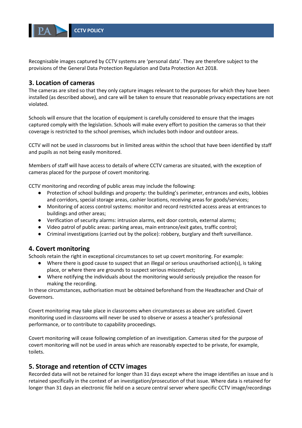

Recognisable images captured by CCTV systems are 'personal data'. They are therefore subject to the provisions of the General Data Protection Regulation and Data Protection Act 2018.

### <span id="page-4-0"></span>**3. Location of cameras**

The cameras are sited so that they only capture images relevant to the purposes for which they have been installed (as described above), and care will be taken to ensure that reasonable privacy expectations are not violated.

Schools will ensure that the location of equipment is carefully considered to ensure that the images captured comply with the legislation. Schools will make every effort to position the cameras so that their coverage is restricted to the school premises, which includes both indoor and outdoor areas.

CCTV will not be used in classrooms but in limited areas within the school that have been identified by staff and pupils as not being easily monitored.

Members of staff will have access to details of where CCTV cameras are situated, with the exception of cameras placed for the purpose of covert monitoring.

CCTV monitoring and recording of public areas may include the following:

- Protection of school buildings and property: the building's perimeter, entrances and exits, lobbies and corridors, special storage areas, cashier locations, receiving areas for goods/services;
- Monitoring of access control systems: monitor and record restricted access areas at entrances to buildings and other areas;
- Verification of security alarms: intrusion alarms, exit door controls, external alarms;
- Video patrol of public areas: parking areas, main entrance/exit gates, traffic control;
- Criminal investigations (carried out by the police): robbery, burglary and theft surveillance.

# <span id="page-4-1"></span>**4. Covert monitoring**

Schools retain the right in exceptional circumstances to set up covert monitoring. For example:

- Where there is good cause to suspect that an illegal or serious unauthorised action(s), is taking place, or where there are grounds to suspect serious misconduct;
- Where notifying the individuals about the monitoring would seriously prejudice the reason for making the recording.

In these circumstances, authorisation must be obtained beforehand from the Headteacher and Chair of Governors.

Covert monitoring may take place in classrooms when circumstances as above are satisfied. Covert monitoring used in classrooms will never be used to observe or assess a teacher's professional performance, or to contribute to capability proceedings.

Covert monitoring will cease following completion of an investigation. Cameras sited for the purpose of covert monitoring will not be used in areas which are reasonably expected to be private, for example, toilets.

### <span id="page-4-2"></span>**5. Storage and retention of CCTV images**

Recorded data will not be retained for longer than 31 days except where the image identifies an issue and is retained specifically in the context of an investigation/prosecution of that issue. Where data is retained for longer than 31 days an electronic file held on a secure central server where specific CCTV image/recordings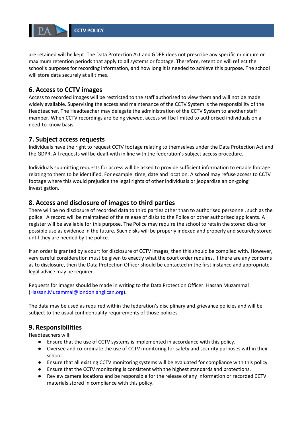

are retained will be kept. The Data Protection Act and GDPR does not prescribe any specific minimum or maximum retention periods that apply to all systems or footage. Therefore, retention will reflect the school's purposes for recording information, and how long it is needed to achieve this purpose. The school will store data securely at all times.

## <span id="page-5-0"></span>**6. Access to CCTV images**

Access to recorded images will be restricted to the staff authorised to view them and will not be made widely available. Supervising the access and maintenance of the CCTV System is the responsibility of the Headteacher. The Headteacher may delegate the administration of the CCTV System to another staff member. When CCTV recordings are being viewed, access will be limited to authorised individuals on a need-to-know basis.

### <span id="page-5-1"></span>**7. Subject access requests**

Individuals have the right to request CCTV footage relating to themselves under the Data Protection Act and the GDPR. All requests will be dealt with in line with the federation's subject access procedure.

Individuals submitting requests for access will be asked to provide sufficient information to enable footage relating to them to be identified. For example: time, date and location. A school may refuse access to CCTV footage where this would prejudice the legal rights of other individuals or jeopardise an on-going investigation.

### <span id="page-5-2"></span>**8. Access and disclosure of images to third parties**

There will be no disclosure of recorded data to third parties other than to authorised personnel, such as the police. A record will be maintained of the release of disks to the Police or other authorised applicants. A register will be available for this purpose. The Police may require the school to retain the stored disks for possible use as evidence in the future. Such disks will be properly indexed and properly and securely stored until they are needed by the police.

If an order is granted by a court for disclosure of CCTV images, then this should be complied with. However, very careful consideration must be given to exactly what the court order requires. If there are any concerns as to disclosure, then the Data Protection Officer should be contacted in the first instance and appropriate legal advice may be required.

Requests for images should be made in writing to the Data Protection Officer: Hassan Muzammal [\(Hassan.Muzammal@london.anglican.org\)](mailto:Hassan.Muzammal@london.anglican.org).

The data may be used as required within the federation's disciplinary and grievance policies and will be subject to the usual confidentiality requirements of those policies.

### <span id="page-5-3"></span>**9. Responsibilities**

Headteachers will:

- Ensure that the use of CCTV systems is implemented in accordance with this policy.
- Oversee and co-ordinate the use of CCTV monitoring for safety and security purposes within their school.
- Ensure that all existing CCTV monitoring systems will be evaluated for compliance with this policy.
- Ensure that the CCTV monitoring is consistent with the highest standards and protections.
- Review camera locations and be responsible for the release of any information or recorded CCTV materials stored in compliance with this policy.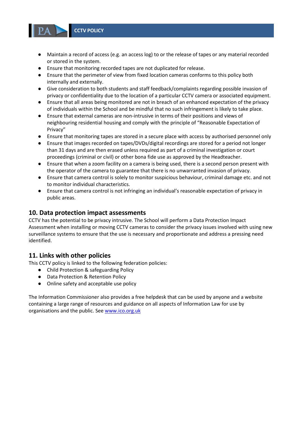- Maintain a record of access (e.g. an access log) to or the release of tapes or any material recorded or stored in the system.
- Ensure that monitoring recorded tapes are not duplicated for release.
- Ensure that the perimeter of view from fixed location cameras conforms to this policy both internally and externally.
- Give consideration to both students and staff feedback/complaints regarding possible invasion of privacy or confidentiality due to the location of a particular CCTV camera or associated equipment.
- Ensure that all areas being monitored are not in breach of an enhanced expectation of the privacy of individuals within the School and be mindful that no such infringement is likely to take place.
- Ensure that external cameras are non-intrusive in terms of their positions and views of neighbouring residential housing and comply with the principle of "Reasonable Expectation of Privacy"
- Ensure that monitoring tapes are stored in a secure place with access by authorised personnel only
- Ensure that images recorded on tapes/DVDs/digital recordings are stored for a period not longer than 31 days and are then erased unless required as part of a criminal investigation or court proceedings (criminal or civil) or other bona fide use as approved by the Headteacher.
- Ensure that when a zoom facility on a camera is being used, there is a second person present with the operator of the camera to guarantee that there is no unwarranted invasion of privacy.
- Ensure that camera control is solely to monitor suspicious behaviour, criminal damage etc. and not to monitor individual characteristics.
- Ensure that camera control is not infringing an individual's reasonable expectation of privacy in public areas.

### <span id="page-6-0"></span>**10. Data protection impact assessments**

CCTV has the potential to be privacy intrusive. The School will perform a Data Protection Impact Assessment when installing or moving CCTV cameras to consider the privacy issues involved with using new surveillance systems to ensure that the use is necessary and proportionate and address a pressing need identified.

### <span id="page-6-1"></span>**11. Links with other policies**

This CCTV policy is linked to the following federation policies:

- Child Protection & safeguarding Policy
- Data Protection & Retention Policy
- Online safety and acceptable use policy

The Information Commissioner also provides a free helpdesk that can be used by anyone and a website containing a large range of resources and guidance on all aspects of Information Law for use by organisations and the public. See [www.ico.org.uk](http://www.ico.org.uk/)